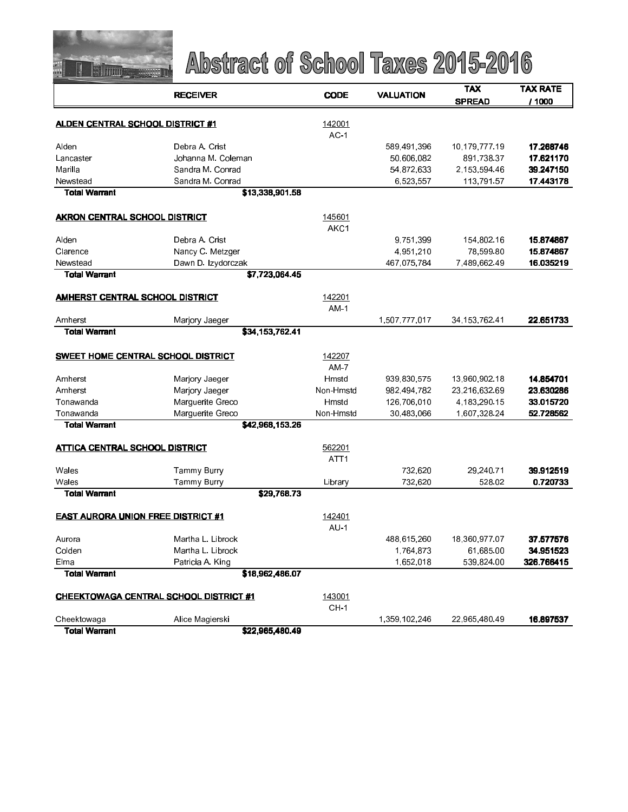

|                                           | <b>RECEIVER</b>                               | <b>CODE</b>                | <b>VALUATION</b> | <b>TAX</b>       | <b>TAX RATE</b> |
|-------------------------------------------|-----------------------------------------------|----------------------------|------------------|------------------|-----------------|
|                                           |                                               |                            |                  | <b>SPREAD</b>    | / 1000          |
|                                           |                                               | 142001                     |                  |                  |                 |
| <u>ALDEN CENTRAL SCHOOL DISTRICT #1</u>   |                                               | $AC-1$                     |                  |                  |                 |
| Alden                                     | Debra A Crist                                 |                            | 589,491,396      | 10.179.777.19    | 17.268746       |
| Lancaster                                 | Johanna M. Coleman                            |                            | 50,606,082       | 891,738.37       | 17.621170       |
| Marilla                                   | Sandra M. Conrad                              |                            | 54,872,633       | 2,153,594.46     | 39.247150       |
| Newstead                                  | Sandra M. Conrad                              |                            | 6,523,557        | 113,791.57       | 17.443178       |
| <b>Total Warrant</b>                      | \$13,338,901.58                               |                            |                  |                  |                 |
|                                           |                                               |                            |                  |                  |                 |
| <b>AKRON CENTRAL SCHOOL DISTRICT</b>      |                                               | 145601                     |                  |                  |                 |
|                                           |                                               | AKC1                       |                  |                  |                 |
| Alden                                     | Debra A Crist                                 |                            | 9,751,399        | 154,802.16       | 15.874867       |
| Clarence                                  | Nancy C. Metzger                              |                            | 4,951,210        | 78,599.80        | 15.874867       |
| Newstead                                  | Dawn D. Izydorczak                            |                            | 467,075,784      | 7,489,662.49     | 16.035219       |
| <b>Total Warrant</b>                      | \$7,723,064.45                                |                            |                  |                  |                 |
| <b>AMHERST CENTRAL SCHOOL DISTRICT</b>    |                                               | 142201                     |                  |                  |                 |
|                                           |                                               | <b>AM1</b>                 |                  |                  |                 |
| Amherst                                   | Marjory Jaeger                                |                            | 1,507,777,017    | 34, 153, 762. 41 | 22.651733       |
| <b>Total Warrant</b>                      | \$34,153,762.41                               |                            |                  |                  |                 |
| SWEET HOME CENTRAL SCHOOL DISTRICT        |                                               | 142207                     |                  |                  |                 |
|                                           |                                               | $AM-7$                     |                  |                  |                 |
| Amherst                                   | Marjory Jaeger                                | Hmstd                      | 939,830,575      | 13,960,902.18    | 14.854701       |
| Amherst                                   | Marjory Jaeger                                | Non-Hmstd                  | 982,494,782      | 23,216,632.69    | 23.630286       |
| Tonawanda                                 | Marguerite Greco                              | Hmstd                      | 126,706,010      | 4,183,290.15     | 33.015720       |
| Tonawanda                                 | Marguerite Greco                              | Non-Hmstd                  | 30,483,066       | 1,607,328.24     | 52.728562       |
| Total Warrant                             | \$42,968,153.26                               |                            |                  |                  |                 |
|                                           |                                               |                            |                  |                  |                 |
| <b>ATTICA CENTRAL SCHOOL DISTRICT</b>     |                                               | 562201<br>ATT <sub>1</sub> |                  |                  |                 |
| Wales                                     | Tammy Burry                                   |                            | 732,620          | 29,240.71        | 39.912519       |
| Wales                                     | Tammy Burry                                   | Library                    | 732,620          | 528 02           | 0.720733        |
| <b>Total Warrant</b>                      | \$29,768.73                                   |                            |                  |                  |                 |
|                                           |                                               |                            |                  |                  |                 |
| <b>EAST AURORA UNION FREE DISTRICT #1</b> |                                               | 142401                     |                  |                  |                 |
|                                           |                                               | AU <sub>1</sub>            |                  |                  |                 |
| Aurora                                    | Martha L. Librock                             |                            | 488 615 260      | 18,360,977.07    | 37.577576       |
| Colden                                    | Martha L. Librock                             |                            | 1,764,873        | 61 685 00        | 34.951523       |
| Elma                                      | Patricia A. King                              |                            | 1,652,018        | 539,824.00       | 326.766415      |
| <b>Total Warrant</b>                      | \$18,962,486.07                               |                            |                  |                  |                 |
|                                           | <b>CHEEKTOWAGA CENTRAL SCHOOL DISTRICT #1</b> | 143001                     |                  |                  |                 |
|                                           |                                               | CH <sub>1</sub>            |                  |                  |                 |
| Cheektowaga                               | Alice Magierski                               |                            | 1,359,102,246    | 22,965,480.49    | 16.897537       |
| <b>Total Warrant</b>                      | \$22,965,480.49                               |                            |                  |                  |                 |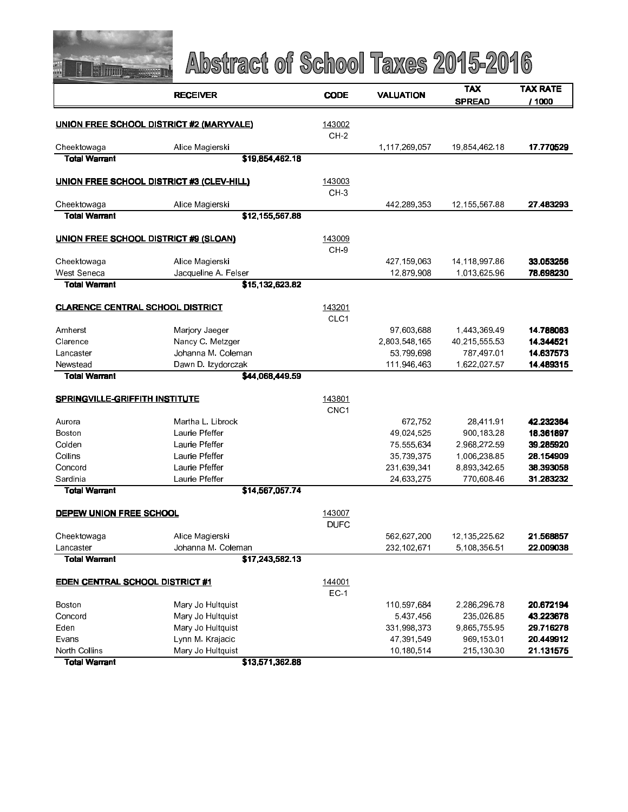

|                                         | <b>RECEIVER</b>                                 | <b>CODE</b>      | <b>VALUATION</b> | <b>TAX</b>    | <b>TAX RATE</b> |
|-----------------------------------------|-------------------------------------------------|------------------|------------------|---------------|-----------------|
|                                         |                                                 |                  |                  | <b>SPREAD</b> | / 1000          |
|                                         | <b>UNION FREE SCHOOL DISTRICT #2 (MARYVALE)</b> | 143002           |                  |               |                 |
|                                         |                                                 | $CH-2$           |                  |               |                 |
| Cheektowaga                             | Alice Magierski                                 |                  | 1,117,269,057    | 19,854,462.18 | 17.770529       |
| <b>Total Warrant</b>                    | \$19,854,462.18                                 |                  |                  |               |                 |
|                                         |                                                 |                  |                  |               |                 |
|                                         | UNION FREE SCHOOL DISTRICT #3 (CLEV-HILL)       | 143003           |                  |               |                 |
|                                         |                                                 | CH <sub>3</sub>  |                  |               |                 |
| Cheektowaga                             | Alice Magierski                                 |                  | 442,289,353      | 12,155,567.88 | 27.483293       |
| <b>Total Warrant</b>                    | \$12,155,567.88                                 |                  |                  |               |                 |
| UNION FREE SCHOOL DISTRICT #9 (SLOAN)   |                                                 | 143009           |                  |               |                 |
|                                         |                                                 | CH-9             |                  |               |                 |
| Cheektowaga                             | Alice Magierski                                 |                  | 427,159,063      | 14,118,997.86 | 33.053256       |
| West Seneca                             | Jacqueline A. Felser                            |                  | 12,879,908       | 1,013,625.96  | 78.698230       |
| <b>Total Warrant</b>                    | \$15,132,623.82                                 |                  |                  |               |                 |
|                                         |                                                 |                  |                  |               |                 |
| <b>CLARENCE CENTRAL SCHOOL DISTRICT</b> |                                                 | 143201           |                  |               |                 |
|                                         |                                                 | CLC1             |                  |               |                 |
| Amherst                                 | Marjory Jaeger                                  |                  | 97,603,688       | 1,443,369.49  | 14.788063       |
| Clarence                                | Nancy C. Metzger                                |                  | 2,803,548,165    | 40 215 555 53 | 14.344521       |
| Lancaster                               | Johanna M. Coleman                              |                  | 53,799,698       | 787,497.01    | 14.637573       |
| Newstead                                | Dawn D. Izydorczak                              |                  | 111,946,463      | 1,622,027.57  | 14.489315       |
| <b>Total Warrant</b>                    | \$44,068,449.59                                 |                  |                  |               |                 |
| <b>SPRINGVILLE-GRIFFITH INSTITUTE</b>   |                                                 | 143801           |                  |               |                 |
|                                         |                                                 | CNC <sub>1</sub> |                  |               |                 |
| Aurora                                  | Martha L. Librock                               |                  | 672,752          | 28,411.91     | 42.232364       |
| Boston                                  | Laurie Pfeffer                                  |                  | 49,024,525       | 900,183.28    | 18.361897       |
| Colden                                  | Laurie Pfeffer                                  |                  | 75,555,634       | 2,968,272.59  | 39.285920       |
| Collins                                 | Laurie Pfeffer                                  |                  | 35,739,375       | 1,006,238.85  | 28.154909       |
| Concord                                 | Laurie Pfeffer                                  |                  | 231,639,341      | 8,893,342.65  | 38.393058       |
| Sardinia                                | Laune Pfeffer                                   |                  | 24,633,275       | 770,608.46    | 31.283232       |
| <b>Total Warrant</b>                    | \$14,567,057.74                                 |                  |                  |               |                 |
|                                         |                                                 |                  |                  |               |                 |
| <b>DEPEW UNION FREE SCHOOL</b>          |                                                 | 143007           |                  |               |                 |
|                                         |                                                 | <b>DUFC</b>      |                  |               |                 |
| Cheektowaga                             | Alice Magierski                                 |                  | 562,627,200      | 12,135,225.62 | 21.568857       |
| Lancaster                               | Johanna M. Coleman                              |                  | 232,102,671      | 5,108,356.51  | 22.009038       |
| <b>Total Warrant</b>                    | \$17,243,582.13                                 |                  |                  |               |                 |
| <b>EDEN CENTRAL SCHOOL DISTRICT #1</b>  |                                                 | 144001           |                  |               |                 |
|                                         |                                                 | $EC-1$           |                  |               |                 |
| Boston                                  | Mary Jo Hultquist                               |                  | 110,597,684      | 2,286,296.78  | 20.672194       |
| Concord                                 | Mary Jo Hultquist                               |                  | 5,437,456        | 235,026.85    | 43.223678       |
| Eden                                    | Mary Jo Hultquist                               |                  | 331,998,373      | 9,865,755.95  | 29.716278       |
| Evans                                   | Lynn M. Krajacic                                |                  | 47,391,549       | 969,153.01    | 20.449912       |
| North Collins                           | Mary Jo Hultquist                               |                  | 10,180,514       | 215,130.30    | 21.131575       |
| <b>Total Warrant</b>                    | \$13,571,362.88                                 |                  |                  |               |                 |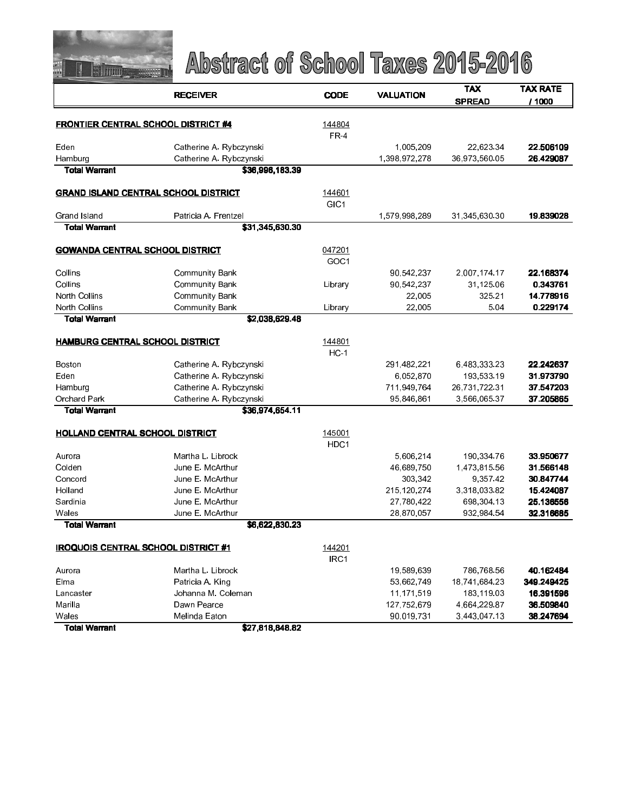

|                                             | <b>RECEIVER</b>                            | <b>CODE</b>                |                  | <b>TAX</b>    | <b>TAX RATE</b> |  |
|---------------------------------------------|--------------------------------------------|----------------------------|------------------|---------------|-----------------|--|
|                                             |                                            |                            | <b>VALUATION</b> | <b>SPREAD</b> | / 1000          |  |
|                                             |                                            |                            |                  |               |                 |  |
| <b>FRONTIER CENTRAL SCHOOL DISTRICT #4</b>  |                                            | 144804                     |                  |               |                 |  |
|                                             |                                            | <b>FR-4</b>                |                  |               |                 |  |
| Eden                                        | Catherine A. Rybczynski                    |                            | 1,005,209        | 22,623.34     | 22.506109       |  |
| Hamburg<br><b>Total Warrant</b>             | Catherine A. Rybczynski<br>\$36,996,183.39 |                            | 1,398,972,278    | 36,973,560.05 | 26.429087       |  |
|                                             |                                            |                            |                  |               |                 |  |
| <b>GRAND ISLAND CENTRAL SCHOOL DISTRICT</b> |                                            | 144601                     |                  |               |                 |  |
|                                             |                                            | GIC <sub>1</sub>           |                  |               |                 |  |
| Grand Island                                | Patricia A Frentzel                        |                            | 1,579,998,289    | 31,345,630.30 | 19.839028       |  |
| <b>Total Warrant</b>                        | \$31,345,630.30                            |                            |                  |               |                 |  |
|                                             |                                            |                            |                  |               |                 |  |
| <b>GOWANDA CENTRAL SCHOOL DISTRICT</b>      |                                            | 047201                     |                  |               |                 |  |
|                                             |                                            | GOC <sub>1</sub>           |                  |               |                 |  |
| Collins                                     | <b>Community Bank</b>                      |                            | 90,542,237       | 2,007,174.17  | 22.168374       |  |
| Collins                                     | <b>Community Bank</b>                      | Library                    | 90,542,237       | 31,125.06     | 0.343761        |  |
| North Collins                               | <b>Community Bank</b>                      |                            | 22,005           | 325 21        | 14.778916       |  |
| North Collins                               | <b>Community Bank</b>                      | Library                    | 22.005           | 5.04          | 0.229174        |  |
| Total Warrant                               | \$2,038,629.48                             |                            |                  |               |                 |  |
| HAMBURG CENTRAL SCHOOL DISTRICT             |                                            | 144801                     |                  |               |                 |  |
|                                             |                                            | $HC-1$                     |                  |               |                 |  |
| Boston                                      | Catherine A. Rybczynski                    |                            | 291,482,221      | 6,483,333.23  | 22 24 26 37     |  |
| Eden                                        | Catherine A. Rybczynski                    |                            | 6,052,870        | 193,533.19    | 31.973790       |  |
| Hamburg                                     | Catherine A. Rybczynski                    |                            | 711,949,764      | 26 731 722 31 | 37.547203       |  |
| <b>Orchard Park</b>                         | Catherine A. Rybczynski                    |                            | 95,846,861       | 3,566,065.37  | 37.205865       |  |
| Total Warrant                               | \$36,974,654.11                            |                            |                  |               |                 |  |
|                                             |                                            |                            |                  |               |                 |  |
| <b>HOLLAND CENTRAL SCHOOL DISTRICT</b>      |                                            | 145001<br>HDC <sub>1</sub> |                  |               |                 |  |
| Aurora                                      | Martha L. Librock                          |                            | 5,606,214        | 190,334.76    | 33.950677       |  |
| Colden                                      | June E. McArthur                           |                            | 46,689,750       | 1,473,815.56  | 31.566148       |  |
| Concord                                     | June E. McArthur                           |                            | 303,342          | 9,357.42      | 30.847744       |  |
| Holland                                     | June E. McArthur                           |                            | 215 120 274      | 3,318,033.82  | 15.424087       |  |
| Sardinia                                    | June E. McArthur                           |                            | 27,780,422       | 698,304.13    | 25.136556       |  |
| Wales                                       | June E. McArthur                           |                            | 28,870,057       | 932 984 54    | 32.316685       |  |
| <b>Total Warrant</b>                        | \$6,622,830.23                             |                            |                  |               |                 |  |
|                                             |                                            |                            |                  |               |                 |  |
| <b>IROQUOIS CENTRAL SCHOOL DISTRICT #1</b>  |                                            | 144201                     |                  |               |                 |  |
|                                             |                                            | IRC1                       |                  |               |                 |  |
| Aurora                                      | Martha L. Librock                          |                            | 19,589,639       | 786,768.56    | 40.162484       |  |
| Elma                                        | Patricia A. King                           |                            | 53,662,749       | 18,741,684.23 | 349.249425      |  |
| Lancaster                                   | Johanna M. Coleman                         |                            | 11,171,519       | 183,119.03    | 16.391596       |  |
| Marilla                                     | Dawn Pearce                                |                            | 127,752,679      | 4,664,229.87  | 36.509840       |  |
| Wales                                       | Melinda Eaton                              |                            | 90,019,731       | 3 443 047 13  | 38.247694       |  |
| <b>Total Warrant</b>                        | \$27,818,848.82                            |                            |                  |               |                 |  |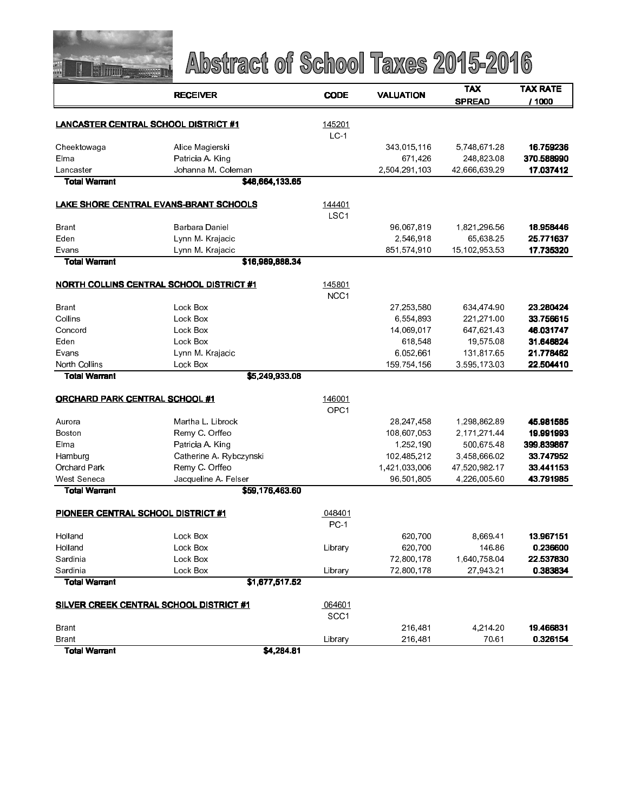

|                                             | <b>RECEIVER</b>                                 | <b>CODE</b>                | <b>VALUATION</b>         | <b>TAX</b>                  | <b>TAX RATE</b>         |  |
|---------------------------------------------|-------------------------------------------------|----------------------------|--------------------------|-----------------------------|-------------------------|--|
|                                             |                                                 |                            |                          | <b>SPREAD</b>               | / 1000                  |  |
|                                             |                                                 |                            |                          |                             |                         |  |
| <b>LANCASTER CENTRAL SCHOOL DISTRICT #1</b> |                                                 | 145201                     |                          |                             |                         |  |
|                                             |                                                 | $LC-1$                     |                          |                             | 16.759236               |  |
| Cheektowaga                                 | Alice Magierski                                 |                            | 343,015,116              | 5,748,671.28                |                         |  |
| Elma<br>Lancaster                           | Patricia A. King<br>Johanna M. Coleman          |                            | 671,426<br>2,504,291,103 | 248,823.08<br>42,666,639.29 | 370.588990<br>17.037412 |  |
| <b>Total Warrant</b>                        | \$48,664,133.65                                 |                            |                          |                             |                         |  |
|                                             |                                                 |                            |                          |                             |                         |  |
|                                             | LAKE SHORE CENTRAL EVANS-BRANT SCHOOLS          | 144401                     |                          |                             |                         |  |
|                                             |                                                 | LSC <sub>1</sub>           |                          |                             |                         |  |
| Brant                                       | Barbara Daniel                                  |                            | 96,067,819               | 1,821,296.56                | 18.958446               |  |
| Eden                                        | Lynn M. Krajacic                                |                            | 2,546,918                | 65,638.25                   | 25.771637               |  |
| Evans                                       | Lynn M. Krajacic                                |                            | 851,574,910              | 15,102,953.53               | 17.735320               |  |
| <b>Total Warrant</b>                        | \$16,989,888.34                                 |                            |                          |                             |                         |  |
|                                             | <b>NORTH COLLINS CENTRAL SCHOOL DISTRICT #1</b> | 145801                     |                          |                             |                         |  |
|                                             |                                                 | NCC <sub>1</sub>           |                          |                             |                         |  |
| Brant                                       | Lock Box                                        |                            | 27,253,580               | 634,474 90                  | 23.280424               |  |
| Collins                                     | Lock Box                                        |                            | 6,554,893                | 221, 271.00                 | 33.756615               |  |
| Concord                                     | Lock Box                                        |                            | 14,069,017               | 647 621 43                  | 46.031747               |  |
| Eden                                        | Lock Box                                        |                            | 618,548                  | 19 575 08                   | 31.646824               |  |
| Evans                                       | Lynn M. Krajacic                                |                            | 6,052,661                | 131,817.65                  | 21.778462               |  |
| North Collins                               | Lock Box                                        |                            | 159,754,156              | 3,595,173.03                | 22.504410               |  |
| Total Warrant                               | \$5,249,933.08                                  |                            |                          |                             |                         |  |
|                                             |                                                 |                            |                          |                             |                         |  |
| <b>ORCHARD PARK CENTRAL SCHOOL #1</b>       |                                                 | 146001<br>OPC <sub>1</sub> |                          |                             |                         |  |
| Aurora                                      | Martha L. Librock                               |                            | 28,247,458               | 1,298,862.89                | 45.981585               |  |
| Boston                                      | Remy C. Orffeo                                  |                            | 108,607,053              | 2,171,271.44                | 19.991993               |  |
| Elma                                        | Patricia A. King                                |                            | 1,252,190                | 500 675 48                  | 399.839867              |  |
| Hamburg                                     | Catherine A. Rybczynski                         |                            | 102,485,212              | 3,458,666.02                | 33.747952               |  |
| <b>Orchard Park</b>                         | Remy C. Orffeo                                  |                            | 1,421,033,006            | 47,520,982.17               | 33.441153               |  |
| West Seneca                                 | Jacqueline A. Felser                            |                            | 96,501,805               | 4,226,005.60                | 43.791985               |  |
| <b>Total Warrant</b>                        | \$59,176,463.60                                 |                            |                          |                             |                         |  |
|                                             |                                                 |                            |                          |                             |                         |  |
| PIONEER CENTRAL SCHOOL DISTRICT #1          |                                                 | 048401                     |                          |                             |                         |  |
|                                             | Lock Box                                        | $PC-1$                     |                          |                             | 13.967151               |  |
| Holland<br>Holland                          | Lock Box                                        | Library                    | 620,700<br>620,700       | 8 669 41<br>146.86          |                         |  |
| Sardinia                                    | Lock Box                                        |                            | 72,800,178               | 1,640,758.04                | 0.236600<br>22.537830   |  |
| Sardinia                                    | Lock Box                                        | Library                    | 72,800,178               | 27,943.21                   | 0.383834                |  |
| <b>Total Warrant</b>                        | \$1,677,517.52                                  |                            |                          |                             |                         |  |
|                                             |                                                 |                            |                          |                             |                         |  |
|                                             | <b>SILVER CREEK CENTRAL SCHOOL DISTRICT #1</b>  | 064601                     |                          |                             |                         |  |
|                                             |                                                 | SCC1                       |                          |                             |                         |  |
| Brant                                       |                                                 |                            | 216,481                  | 4,214.20                    | 19.466831               |  |
| <b>Brant</b>                                |                                                 | Library                    | 216,481                  | 70.61                       | 0.326154                |  |
| <b>Total Warrant</b>                        | \$4,284.81                                      |                            |                          |                             |                         |  |